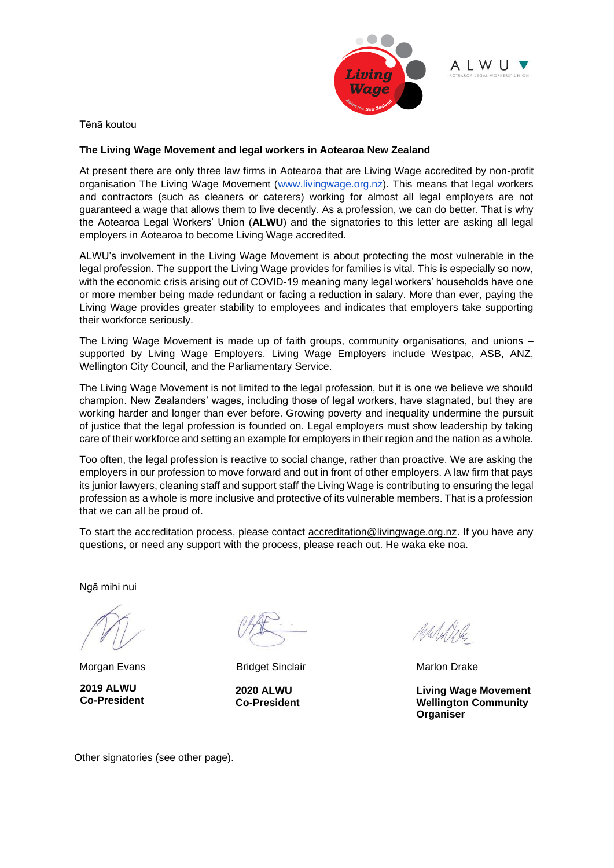

ALWU

Tēnā koutou

## **The Living Wage Movement and legal workers in Aotearoa New Zealand**

At present there are only three law firms in Aotearoa that are Living Wage accredited by non-profit organisation The Living Wage Movement [\(www.livingwage.org.nz\)](http://www.livingwage.org.nz/). This means that legal workers and contractors (such as cleaners or caterers) working for almost all legal employers are not guaranteed a wage that allows them to live decently. As a profession, we can do better. That is why the Aotearoa Legal Workers' Union (**ALWU**) and the signatories to this letter are asking all legal employers in Aotearoa to become Living Wage accredited.

ALWU's involvement in the Living Wage Movement is about protecting the most vulnerable in the legal profession. The support the Living Wage provides for families is vital. This is especially so now, with the economic crisis arising out of COVID-19 meaning many legal workers' households have one or more member being made redundant or facing a reduction in salary. More than ever, paying the Living Wage provides greater stability to employees and indicates that employers take supporting their workforce seriously.

The Living Wage Movement is made up of faith groups, community organisations, and unions – supported by Living Wage Employers. Living Wage Employers include Westpac, ASB, ANZ, Wellington City Council, and the Parliamentary Service.

The Living Wage Movement is not limited to the legal profession, but it is one we believe we should champion. New Zealanders' wages, including those of legal workers, have stagnated, but they are working harder and longer than ever before. Growing poverty and inequality undermine the pursuit of justice that the legal profession is founded on. Legal employers must show leadership by taking care of their workforce and setting an example for employers in their region and the nation as a whole.

Too often, the legal profession is reactive to social change, rather than proactive. We are asking the employers in our profession to move forward and out in front of other employers. A law firm that pays its junior lawyers, cleaning staff and support staff the Living Wage is contributing to ensuring the legal profession as a whole is more inclusive and protective of its vulnerable members. That is a profession that we can all be proud of.

To start the accreditation process, please contact [accreditation@livingwage.org.nz.](mailto:accreditation@livingwage.org.nz) If you have any questions, or need any support with the process, please reach out. He waka eke noa.

Ngā mihi nui

Morgan Evans **Bridget Sinclair** Marlon Drake **Marlon** Drake

**2019 ALWU Co-President**

**2020 ALWU Co-President**

lateled

**Living Wage Movement Wellington Community Organiser**

Other signatories (see other page).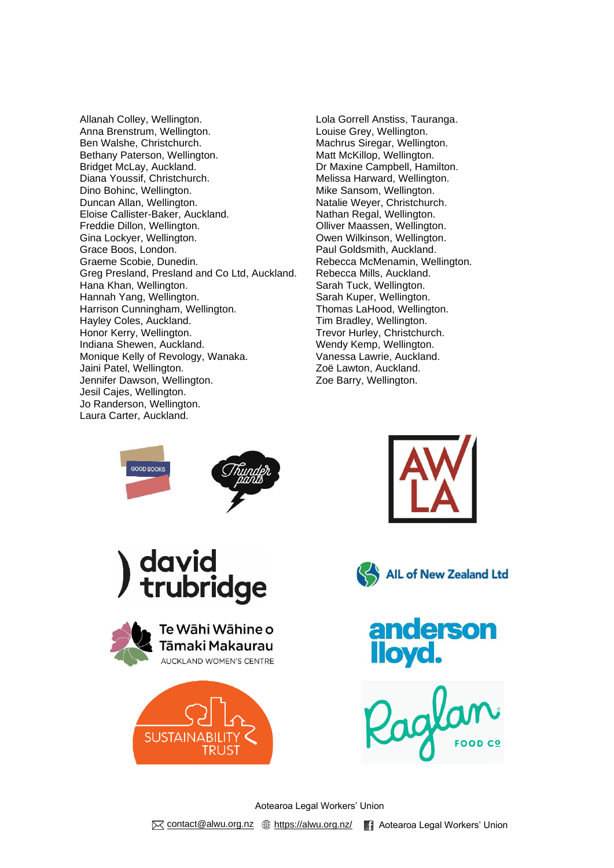Allanah Colley, Wellington. Lola Gorrell Anstiss, Tauranga. Anna Brenstrum, Wellington.<br>
Ben Walshe, Christchurch.<br>
Ben Walshe, Christchurch.<br>
2001 - Machrus Siregar, Wellington. Bethany Paterson, Wellington. Bridget McLay, Auckland.<br>
Dr Maxine Campbell, Hamilton.<br>
Diana Youssif, Christchurch.<br>
Diana Youssif, Christchurch.<br>
Diana Youssif, Christchurch. Dino Bohinc, Wellington. The Mike Sansom, Wellington. Duncan Allan, Wellington. Natalie Weyer, Christchurch. Eloise Callister-Baker, Auckland. Nathan Regal, Wellington. Freddie Dillon, Wellington. The South of Colliver Maassen, Wellington. Gina Lockyer, Wellington. **Communist Communist Communist Communist Communist Communist Communist Communist Communist Communist Communist Communist Communist Communist Communist Communist Communist Communist Communist Commu** Grace Boos, London. **Paul Goldsmith, Auckland.** Graeme Scobie, Dunedin. The Controller of the Rebecca McMenamin, Wellington. Greg Presland, Presland and Co Ltd, Auckland. Rebecca Mills, Auckland. Hana Khan, Wellington. Sarah Tuck, Wellington. Hannah Yang, Wellington. Sarah Kuper, Wellington. Harrison Cunningham, Wellington. Thomas LaHood, Wellington. Hayley Coles, Auckland. The State of Tim Bradley, Wellington. Honor Kerry, Wellington. Trevor Hurley, Christchurch. Indiana Shewen, Auckland. Wendy Kemp, Wellington. Monique Kelly of Revology, Wanaka. Vanessa Lawrie, Auckland. Jaini Patel, Wellington. Zoë Lawton, Auckland. Jennifer Dawson, Wellington. The Mass of the Zoe Barry, Wellington. Jesil Cajes, Wellington. Jo Randerson, Wellington. Laura Carter, Auckland.

Machrus Siregar, Wellington.<br>Matt McKillop, Wellington. Melissa Harward, Wellington.











Aotearoa Legal Workers' Union M [contact@alwu.org.nz](mailto:contact@alwu.org.nz) \times://alwu.org.nz/ **A** Aotearoa Legal Workers' Union